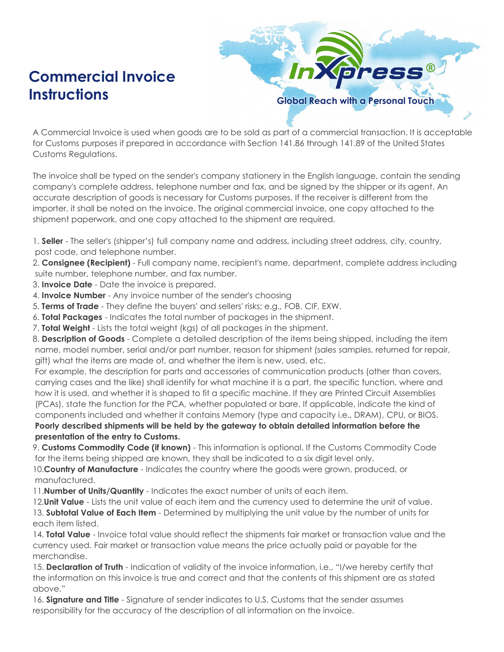## **Commercial Invoice Instructions Global Reach with a Personal Touch**

ress

A Commercial Invoice is used when goods are to be sold as part of a commercial transaction. It is acceptable for Customs purposes if prepared in accordance with Section 141.86 through 141.89 of the United States Customs Regulations.

The invoice shall be typed on the sender's company stationery in the English language, contain the sending company's complete address, telephone number and fax, and be signed by the shipper or its agent. An accurate description of goods is necessary for Customs purposes. If the receiver is different from the importer, it shall be noted on the invoice. The original commercial invoice, one copy attached to the shipment paperwork, and one copy attached to the shipment are required.

1. **Seller** - The seller's (shipper's) full company name and address, including street address, city, country, post code, and telephone number.

2. **Consignee (Recipient)** - Full company name, recipient's name, department, complete address including suite number, telephone number, and fax number.

3. **Invoice Date** - Date the invoice is prepared.

4. **Invoice Number** - Any invoice number of the sender's choosing

5. **Terms of Trade** - They define the buyers' and sellers' risks; e.g., FOB, CIF, EXW.

6. **Total Packages** - Indicates the total number of packages in the shipment.

7. **Total Weight** - Lists the total weight (kgs) of all packages in the shipment.

8. **Description of Goods** - Complete a detailed description of the items being shipped, including the item name, model number, serial and/or part number, reason for shipment (sales samples, returned for repair, gift) what the items are made of, and whether the item is new, used, etc.

For example, the description for parts and accessories of communication products (other than covers, carrying cases and the like) shall identify for what machine it is a part, the specific function, where and how it is used, and whether it is shaped to fit a specific machine. If they are Printed Circuit Assemblies (PCAs), state the function for the PCA, whether populated or bare. If applicable, indicate the kind of components included and whether it contains Memory (type and capacity i.e., DRAM), CPU, or BIOS.

**Poorly described shipments will be held by the gateway to obtain detailed information before the presentation of the entry to Customs.**

9. Customs Commodity Code (if known) - This information is optional. If the Customs Commodity Code for the items being shipped are known, they shall be indicated to a six digit level only.

10.**Country of Manufacture** - Indicates the country where the goods were grown, produced, or manufactured.

11.**Number of Units/Quantity** - Indicates the exact number of units of each item.

12.**Unit Value** - Lists the unit value of each item and the currency used to determine the unit of value. 13. **Subtotal Value of Each Item** - Determined by multiplying the unit value by the number of units for each item listed.

14. **Total Value** - Invoice total value should reflect the shipments fair market or transaction value and the currency used. Fair market or transaction value means the price actually paid or payable for the merchandise.

15. **Declaration of Truth** - Indication of validity of the invoice information, i.e., "I/we hereby certify that the information on this invoice is true and correct and that the contents of this shipment are as stated above."

16. **Signature and Title** - Signature of sender indicates to U.S. Customs that the sender assumes responsibility for the accuracy of the description of all information on the invoice.